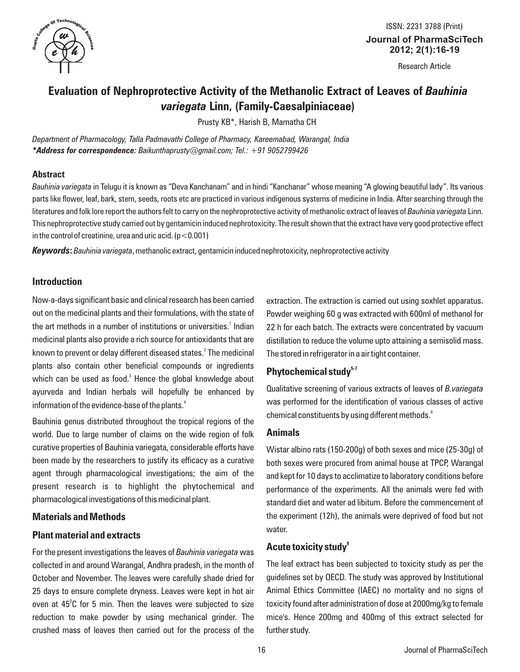

**Journal of PharmaSciTech 2012; 2(1):16-19** ISSN: 2231 3788 (Print)

Research Article

# **Evaluation of Nephroprotective Activity of the Methanolic Extract of Leaves of** *Bauhinia variegata* **Linn, (Family-Caesalpiniaceae)**

Prusty KB\*, Harish B, Mamatha CH

*Department of Pharmacology, Talla Padmavathi College of Pharmacy, Kareemabad, Warangal, India \*Address for correspondence: Baikunthaprusty@gmail.com; Tel.: +91 9052799426* 

#### **Abstract**

*Bauhinia variegata* in Telugu it is known as "Deva Kanchanam" and in hindi "Kanchanar" whose meaning "A glowing beautiful lady". Its various parts like flower, leaf, bark, stem, seeds, roots etc are practiced in various indigenous systems of medicine in India. After searching through the literatures and folk lore report the authors felt to carry on the nephroprotective activity of methanolic extract of leaves of *Bauhinia variegata* Linn. This nephroprotective study carried out by gentamicin induced nephrotoxicity. The result shown that the extract have very good protective effect in the control of creatinine, urea and uric acid.  $(p < 0.001)$ 

*Keywords***:** *Bauhinia variegata*, methanolic extract, gentamicin induced nephrotoxicity, nephroprotective activity

### **Introduction**

Now-a-days significant basic and clinical research has been carried out on the medicinal plants and their formulations, with the state of the art methods in a number of institutions or universities.<sup>1</sup> Indian medicinal plants also provide a rich source for antioxidants that are known to prevent or delay different diseased states.<sup>2</sup> The medicinal plants also contain other beneficial compounds or ingredients which can be used as food.<sup>3</sup> Hence the global knowledge about ayurveda and Indian herbals will hopefully be enhanced by information of the evidence-base of the plants. $^{\textrm{\tiny{\textup{4}}}}$ 

Bauhinia genus distributed throughout the tropical regions of the world. Due to large number of claims on the wide region of folk curative properties of Bauhinia variegata, considerable efforts have been made by the researchers to justify its efficacy as a curative agent through pharmacological investigations; the aim of the present research is to highlight the phytochemical and pharmacological investigations of this medicinal plant.

### **Materials and Methods**

### **Plant material and extracts**

For the present investigations the leaves of *Bauhinia variegata* was collected in and around Warangal, Andhra pradesh, in the month of October and November. The leaves were carefully shade dried for 25 days to ensure complete dryness. Leaves were kept in hot air oven at  $45^{\circ}$ C for 5 min. Then the leaves were subjected to size reduction to make powder by using mechanical grinder. The crushed mass of leaves then carried out for the process of the

extraction. The extraction is carried out using soxhlet apparatus. Powder weighing 60 g was extracted with 600ml of methanol for 22 h for each batch. The extracts were concentrated by vacuum distillation to reduce the volume upto attaining a semisolid mass. The stored in refrigerator in a air tight container.

# **5-7 Phytochemical study**

Qualitative screening of various extracts of leaves of *B.variegata*  was performed for the identification of various classes of active 8 chemical constituents by using different methods.

### **Animals**

Wistar albino rats (150-200g) of both sexes and mice (25-30g) of both sexes were procured from animal house at TPCP, Warangal and kept for 10 days to acclimatize to laboratory conditions before performance of the experiments. All the animals were fed with standard diet and water ad libitum. Before the commencement of the experiment (12h), the animals were deprived of food but not water.

### **9 Acute toxicity study**

The leaf extract has been subjected to toxicity study as per the guidelines set by OECD. The study was approved by Institutional Animal Ethics Committee (IAEC) no mortality and no signs of toxicity found after administration of dose at 2000mg/kg to female mice's. Hence 200mg and 400mg of this extract selected for further study.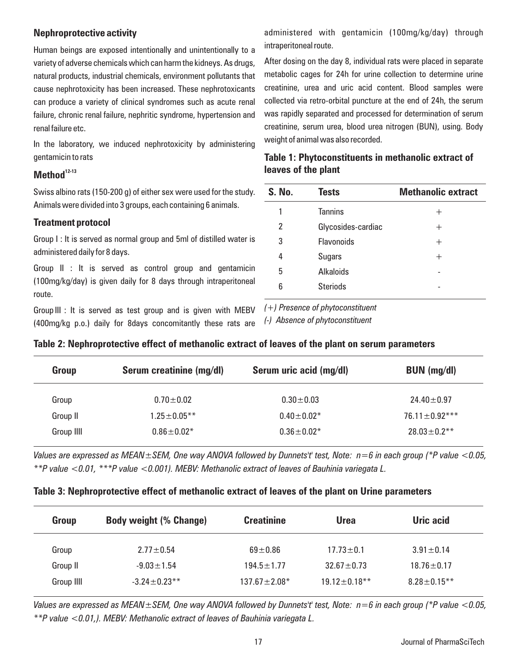### **Nephroprotective activity**

Human beings are exposed intentionally and unintentionally to a variety of adverse chemicals which can harm the kidneys. As drugs, natural products, industrial chemicals, environment pollutants that cause nephrotoxicity has been increased. These nephrotoxicants can produce a variety of clinical syndromes such as acute renal failure, chronic renal failure, nephritic syndrome, hypertension and renal failure etc.

In the laboratory, we induced nephrotoxicity by administering gentamicin to rats

## **12-13 Method**

Swiss albino rats (150-200 g) of either sex were used for the study. Animals were divided into 3 groups, each containing 6 animals.

### **Treatment protocol**

Group I : It is served as normal group and 5ml of distilled water is administered daily for 8 days.

Group II : It is served as control group and gentamicin (100mg/kg/day) is given daily for 8 days through intraperitoneal route.

Group III : It is served as test group and is given with MEBV (400mg/kg p.o.) daily for 8days concomitantly these rats are

administered with gentamicin (100mg/kg/day) through intraperitoneal route.

After dosing on the day 8, individual rats were placed in separate metabolic cages for 24h for urine collection to determine urine creatinine, urea and uric acid content. Blood samples were collected via retro-orbital puncture at the end of 24h, the serum was rapidly separated and processed for determination of serum creatinine, serum urea, blood urea nitrogen (BUN), using. Body weight of animal was also recorded.

## **Table 1: Phytoconstituents in methanolic extract of leaves of the plant**

| S. No. | <b>Tests</b>       | <b>Methanolic extract</b> |
|--------|--------------------|---------------------------|
| 1      | <b>Tannins</b>     | $^+$                      |
| 2      | Glycosides-cardiac | $^+$                      |
| 3      | <b>Flavonoids</b>  | $^+$                      |
| 4      | <b>Sugars</b>      | $\,+\,$                   |
| 5      | <b>Alkaloids</b>   |                           |
| 6      | <b>Steriods</b>    |                           |
|        |                    |                           |

*(+) Presence of phytoconstituent* 

*(-) Absence of phytoconstituent*

| Group      | Serum creatinine (mg/dl) | Serum uric acid (mg/dl) | BUN (mg/dl)         |
|------------|--------------------------|-------------------------|---------------------|
| Group      | $0.70 \pm 0.02$          | $0.30 \pm 0.03$         | $24.40 \pm 0.97$    |
| Group II   | $1.25 \pm 0.05$ **       | $0.40 \pm 0.02*$        | $76.11 \pm 0.92***$ |
| Group IIII | $0.86 \pm 0.02*$         | $0.36 \pm 0.02*$        | $28.03 \pm 0.2$ **  |

### **Table 2: Nephroprotective effect of methanolic extract of leaves of the plant on serum parameters**

*Values are expressed as MEAN±SEM, One way ANOVA followed by Dunnets't' test, Note: n=6 in each group (\*P value <0.05, \*\*P value <0.01, \*\*\*P value <0.001). MEBV: Methanolic extract of leaves of Bauhinia variegata L.*

### **Table 3: Nephroprotective effect of methanolic extract of leaves of the plant on Urine parameters**

| Group      | <b>Body weight (% Change)</b> | <b>Creatinine</b>  | <b>Urea</b>                    | Uric acid          |
|------------|-------------------------------|--------------------|--------------------------------|--------------------|
| Group      | $2.77 \pm 0.54$               | $69 + 0.86$        | $17.73 \pm 0.1$                | $3.91 \pm 0.14$    |
| Group II   | $-9.03 \pm 1.54$              | $194.5 \pm 1.77$   | $32.67 + 0.73$                 | $18.76 \pm 0.17$   |
| Group IIII | $-3.24 + 0.23$ <sup>**</sup>  | $137.67 \pm 2.08*$ | $19.12 \pm 0.18$ <sup>**</sup> | $8.28 \pm 0.15$ ** |

*Values are expressed as MEAN±SEM, One way ANOVA followed by Dunnets't' test, Note: n=6 in each group (\*P value <0.05, \*\*P value <0.01,). MEBV: Methanolic extract of leaves of Bauhinia variegata L.*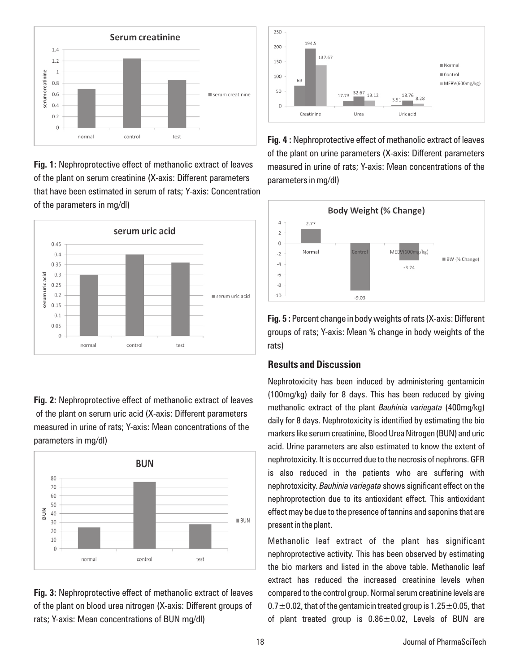

**Fig. 1:** Nephroprotective effect of methanolic extract of leaves of the plant on serum creatinine (X-axis: Different parameters that have been estimated in serum of rats; Y-axis: Concentration of the parameters in mg/dl)



**Fig. 2:** Nephroprotective effect of methanolic extract of leaves of the plant on serum uric acid (X-axis: Different parameters measured in urine of rats; Y-axis: Mean concentrations of the parameters in mg/dl)



**Fig. 3:** Nephroprotective effect of methanolic extract of leaves of the plant on blood urea nitrogen (X-axis: Different groups of rats; Y-axis: Mean concentrations of BUN mg/dl)



**Fig. 4 :** Nephroprotective effect of methanolic extract of leaves of the plant on urine parameters (X-axis: Different parameters measured in urine of rats; Y-axis: Mean concentrations of the parameters in mg/dl)



**Fig. 5 :** Percent change in body weights of rats (X-axis: Different groups of rats; Y-axis: Mean % change in body weights of the rats)

### **Results and Discussion**

Nephrotoxicity has been induced by administering gentamicin (100mg/kg) daily for 8 days. This has been reduced by giving methanolic extract of the plant *Bauhinia variegata* (400mg/kg) daily for 8 days. Nephrotoxicity is identified by estimating the bio markers like serum creatinine, Blood Urea Nitrogen (BUN) and uric acid. Urine parameters are also estimated to know the extent of nephrotoxicity. It is occurred due to the necrosis of nephrons. GFR is also reduced in the patients who are suffering with nephrotoxicity. *Bauhinia variegata* shows significant effect on the nephroprotection due to its antioxidant effect. This antioxidant effect may be due to the presence of tannins and saponins that are present in the plant.

Methanolic leaf extract of the plant has significant nephroprotective activity. This has been observed by estimating the bio markers and listed in the above table. Methanolic leaf extract has reduced the increased creatinine levels when compared to the control group. Normal serum creatinine levels are  $0.7\pm0.02$ , that of the gentamicin treated group is  $1.25\pm0.05$ , that of plant treated group is  $0.86 \pm 0.02$ , Levels of BUN are